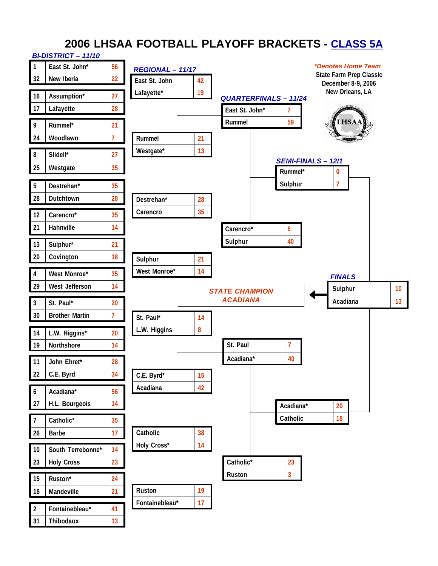## **2006 LHSAA FOOTBALL PLAYOFF BRACKETS - CLASS 5A** *BI-DISTRICT – 11/10*

|                      | 11/10 – ו טוחו טוש <del>י</del> ום |                |                  |    |                                          |                |                                               |    |
|----------------------|------------------------------------|----------------|------------------|----|------------------------------------------|----------------|-----------------------------------------------|----|
| $\mathbf{1}$         | East St. John*                     | 56             | REGIONAL - 11/17 |    |                                          |                | <i><b>*Denotes Home Team</b></i>              |    |
| 32                   | New Iberia                         | 22             | East St. John    | 42 |                                          |                | State Farm Prep Classic<br>December 8-9, 2006 |    |
| 16                   | Assumption*                        | 27             | Lafayette*       | 19 | <b>QUARTERFINALS - 11/24</b>             |                | New Orleans, LA                               |    |
| 17                   | Lafayette                          | 28             |                  |    | East St. John*                           | $\overline{7}$ |                                               |    |
| 9                    | Rummel*                            | 21             |                  |    | Rummel                                   | 59             | <b>HSAA</b>                                   |    |
| 24                   | Woodlawn                           | $\overline{1}$ |                  |    |                                          |                |                                               |    |
|                      |                                    |                | Rummel           | 21 |                                          |                |                                               |    |
| 8                    | Slidell*                           | 27             | Westgate*        | 13 |                                          |                | <b>SEMI-FINALS - 12/1</b>                     |    |
| 25                   | Westgate                           | 35             |                  |    |                                          | Rummel*        | $\mathbf{0}$                                  |    |
| $\sqrt{5}$           | Destrehan*                         | 35             |                  |    |                                          | Sulphur        | $\overline{7}$                                |    |
| 28                   | Dutchtown                          | 28             | Destrehan*       | 28 |                                          |                |                                               |    |
|                      |                                    |                | Carencro         | 35 |                                          |                |                                               |    |
| 12                   | Carencro*                          | 35             |                  |    |                                          |                |                                               |    |
| 21                   | Hahnville                          | 14             |                  |    | Carencro*                                | 6              |                                               |    |
| 13                   | Sulphur*                           | 21             |                  |    | Sulphur                                  | 40             |                                               |    |
| 20                   | Covington                          | 18             | Sulphur          | 21 |                                          |                |                                               |    |
| 4                    | West Monroe*                       | 35             | West Monroe*     | 14 |                                          |                | <b>FINALS</b>                                 |    |
| 29                   | West Jefferson                     | 14             |                  |    |                                          |                | Sulphur                                       | 10 |
|                      |                                    |                |                  |    | <b>STATE CHAMPION</b><br><b>ACADIANA</b> |                | Acadiana                                      | 13 |
| $\mathfrak{Z}$<br>30 | St. Paul*<br><b>Brother Martin</b> | 20<br>7        |                  |    |                                          |                |                                               |    |
|                      |                                    |                | St. Paul*        | 14 |                                          |                |                                               |    |
| 14                   | L.W. Higgins*                      | 20             | L.W. Higgins     | 8  |                                          |                |                                               |    |
| 19                   | Northshore                         | 14             |                  |    | St. Paul                                 | 7              |                                               |    |
| 11                   | John Ehret*                        | 28             |                  |    | Acadiana*                                | 40             |                                               |    |
| 22                   | C.E. Byrd                          | 34             | C.E. Byrd*       | 15 |                                          |                |                                               |    |
| $\boldsymbol{6}$     | Acadiana*                          | 56             | Acadiana         | 42 |                                          |                |                                               |    |
| 27                   | H.L. Bourgeois                     | 14             |                  |    |                                          |                |                                               |    |
|                      |                                    |                |                  |    |                                          | Acadiana*      | 20                                            |    |
| 7                    | Catholic*                          | 35             |                  |    |                                          | Catholic       | 18                                            |    |
| 26                   | Barbe                              | 17             | Catholic         | 38 |                                          |                |                                               |    |
| $10$                 | South Terrebonne*                  | 14             | Holy Cross*      | 14 |                                          |                |                                               |    |
| 23                   | <b>Holy Cross</b>                  | 23             |                  |    | Catholic*                                | 23             |                                               |    |
| 15                   | Ruston*                            | 24             |                  |    | Ruston                                   | $\mathbf{3}$   |                                               |    |
| 18                   | Mandeville                         | 21             | Ruston           | 19 |                                          |                |                                               |    |
|                      |                                    |                | Fontainebleau*   | 17 |                                          |                |                                               |    |
| $\overline{2}$       | Fontainebleau*                     | 41             |                  |    |                                          |                |                                               |    |
| 31                   | Thibodaux                          | 13             |                  |    |                                          |                |                                               |    |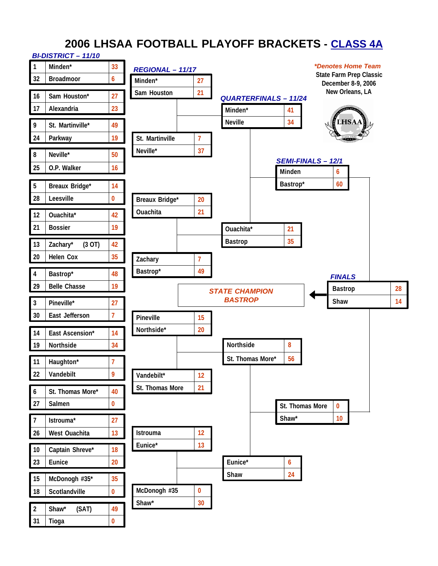# **2006 LHSAA FOOTBALL PLAYOFF BRACKETS - CLASS 4A**

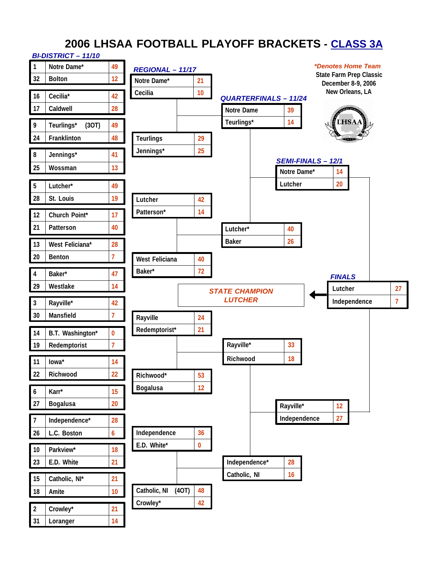# **2006 LHSAA FOOTBALL PLAYOFF BRACKETS - CLASS 3A**

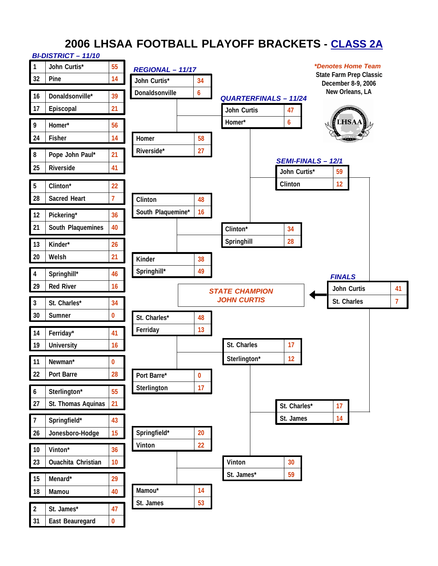# **2006 LHSAA FOOTBALL PLAYOFF BRACKETS - CLASS 2A**